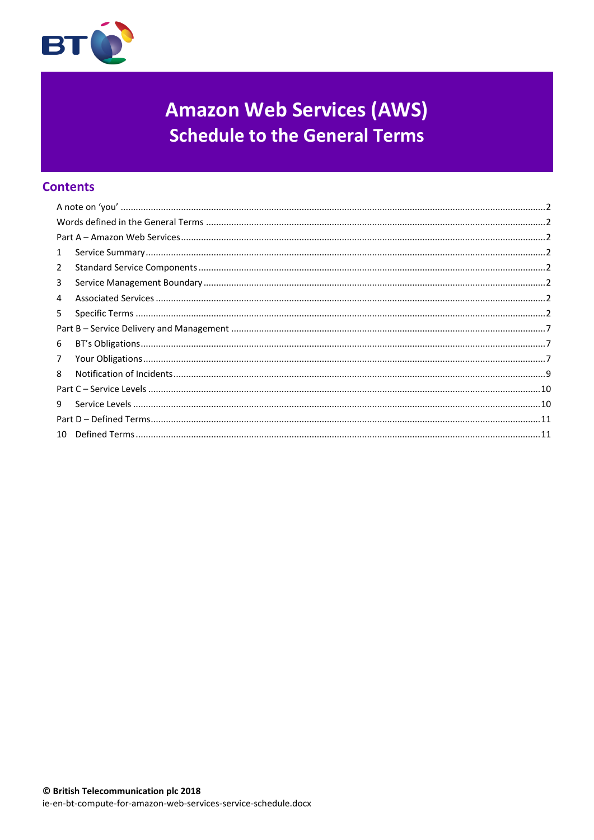

# **Amazon Web Services (AWS) Schedule to the General Terms**

# **Contents**

| $\mathbf{1}$   |  |  |
|----------------|--|--|
| $\overline{2}$ |  |  |
| 3              |  |  |
| 4              |  |  |
| 5.             |  |  |
|                |  |  |
| 6              |  |  |
| $\overline{7}$ |  |  |
| 8              |  |  |
|                |  |  |
| 9              |  |  |
|                |  |  |
|                |  |  |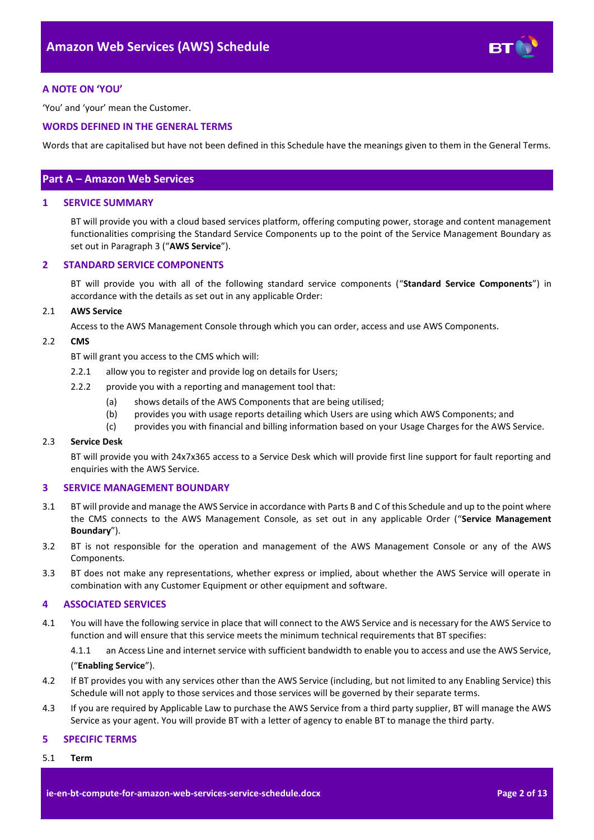

# <span id="page-1-0"></span>**A NOTE ON 'YOU'**

'You' and 'your' mean the Customer.

## <span id="page-1-1"></span>**WORDS DEFINED IN THE GENERAL TERMS**

Words that are capitalised but have not been defined in this Schedule have the meanings given to them in the General Terms.

# <span id="page-1-2"></span>**Part A – Amazon Web Services**

#### <span id="page-1-3"></span>**1 SERVICE SUMMARY**

BT will provide you with a cloud based services platform, offering computing power, storage and content management functionalities comprising the Standard Service Components up to the point of the Service Management Boundary as set out in Paragraph [3](#page-1-5) ("**AWS Service**").

### <span id="page-1-4"></span>**2 STANDARD SERVICE COMPONENTS**

BT will provide you with all of the following standard service components ("**Standard Service Components**") in accordance with the details as set out in any applicable Order:

#### 2.1 **AWS Service**

Access to the AWS Management Console through which you can order, access and use AWS Components.

#### <span id="page-1-8"></span>2.2 **CMS**

BT will grant you access to the CMS which will:

- 2.2.1 allow you to register and provide log on details for Users;
- 2.2.2 provide you with a reporting and management tool that:
	- (a) shows details of the AWS Components that are being utilised;
	- (b) provides you with usage reports detailing which Users are using which AWS Components; and
	- (c) provides you with financial and billing information based on your Usage Charges for the AWS Service.

#### 2.3 **Service Desk**

BT will provide you with 24x7x365 access to a Service Desk which will provide first line support for fault reporting and enquiries with the AWS Service.

### <span id="page-1-5"></span>**3 SERVICE MANAGEMENT BOUNDARY**

- <span id="page-1-10"></span>3.1 BT will provide and manage the AWS Service in accordance with Parts B and C of this Schedule and up to the point where the CMS connects to the AWS Management Console, as set out in any applicable Order ("**Service Management Boundary**").
- 3.2 BT is not responsible for the operation and management of the AWS Management Console or any of the AWS Components.
- 3.3 BT does not make any representations, whether express or implied, about whether the AWS Service will operate in combination with any Customer Equipment or other equipment and software.

### <span id="page-1-6"></span>**4 ASSOCIATED SERVICES**

<span id="page-1-9"></span>4.1 You will have the following service in place that will connect to the AWS Service and is necessary for the AWS Service to function and will ensure that this service meets the minimum technical requirements that BT specifies:

4.1.1 an Access Line and internet service with sufficient bandwidth to enable you to access and use the AWS Service,

#### ("**Enabling Service**").

- 4.2 If BT provides you with any services other than the AWS Service (including, but not limited to any Enabling Service) this Schedule will not apply to those services and those services will be governed by their separate terms.
- 4.3 If you are required by Applicable Law to purchase the AWS Service from a third party supplier, BT will manage the AWS Service as your agent. You will provide BT with a letter of agency to enable BT to manage the third party.

#### <span id="page-1-7"></span>**5 SPECIFIC TERMS**

5.1 **Term**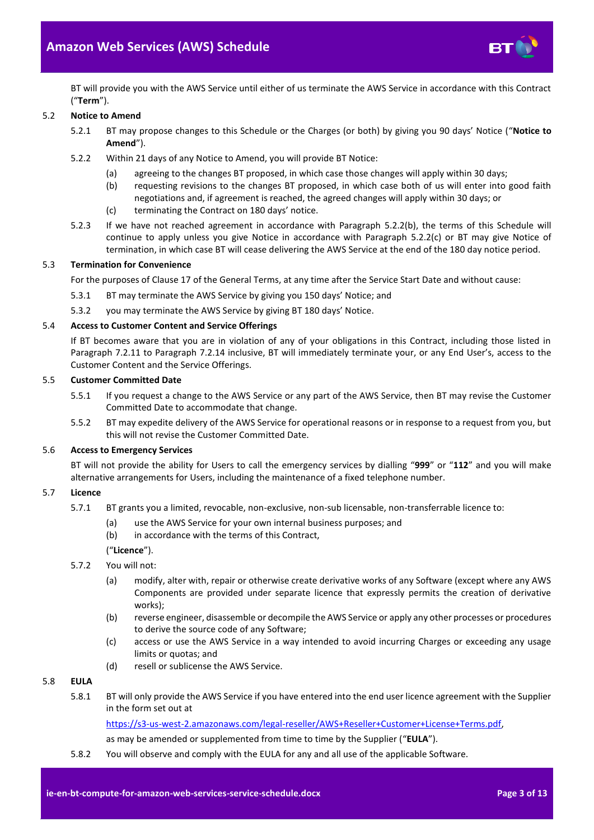

BT will provide you with the AWS Service until either of us terminate the AWS Service in accordance with this Contract ("**Term**").

## <span id="page-2-4"></span>5.2 **Notice to Amend**

- 5.2.1 BT may propose changes to this Schedule or the Charges (or both) by giving you 90 days' Notice ("**Notice to Amend**").
- <span id="page-2-0"></span>5.2.2 Within 21 days of any Notice to Amend, you will provide BT Notice:
	- (a) agreeing to the changes BT proposed, in which case those changes will apply within 30 days;
	- (b) requesting revisions to the changes BT proposed, in which case both of us will enter into good faith negotiations and, if agreement is reached, the agreed changes will apply within 30 days; or
	- (c) terminating the Contract on 180 days' notice.
- <span id="page-2-1"></span>5.2.3 If we have not reached agreement in accordance with Paragraph [5.2.2\(b\),](#page-2-0) the terms of this Schedule will continue to apply unless you give Notice in accordance with Paragraph [5.2.2\(c\)](#page-2-1) or BT may give Notice of termination, in which case BT will cease delivering the AWS Service at the end of the 180 day notice period.

### 5.3 **Termination for Convenience**

For the purposes of Clause 17 of the General Terms, at any time after the Service Start Date and without cause:

- 5.3.1 BT may terminate the AWS Service by giving you 150 days' Notice; and
- 5.3.2 you may terminate the AWS Service by giving BT 180 days' Notice.

# 5.4 **Access to Customer Content and Service Offerings**

If BT becomes aware that you are in violation of any of your obligations in this Contract, including those listed in Paragraph [7.2.11](#page-7-0) to Paragraph [7.2.14](#page-7-1) inclusive, BT will immediately terminate your, or any End User's, access to the Customer Content and the Service Offerings.

#### 5.5 **Customer Committed Date**

- 5.5.1 If you request a change to the AWS Service or any part of the AWS Service, then BT may revise the Customer Committed Date to accommodate that change.
- 5.5.2 BT may expedite delivery of the AWS Service for operational reasons or in response to a request from you, but this will not revise the Customer Committed Date.

### 5.6 **Access to Emergency Services**

BT will not provide the ability for Users to call the emergency services by dialling "**999**" or "**112**" and you will make alternative arrangements for Users, including the maintenance of a fixed telephone number.

### <span id="page-2-3"></span>5.7 **Licence**

- 5.7.1 BT grants you a limited, revocable, non-exclusive, non-sub licensable, non-transferrable licence to:
	- (a) use the AWS Service for your own internal business purposes; and
	- (b) in accordance with the terms of this Contract,

## ("**Licence**").

- 5.7.2 You will not:
	- (a) modify, alter with, repair or otherwise create derivative works of any Software (except where any AWS Components are provided under separate licence that expressly permits the creation of derivative works);
	- (b) reverse engineer, disassemble or decompile the AWS Service or apply any other processes or procedures to derive the source code of any Software;
	- (c) access or use the AWS Service in a way intended to avoid incurring Charges or exceeding any usage limits or quotas; and
	- (d) resell or sublicense the AWS Service.

# <span id="page-2-2"></span>5.8 **EULA**

5.8.1 BT will only provide the AWS Service if you have entered into the end user licence agreement with the Supplier in the form set out at

[https://s3-us-west-2.amazonaws.com/legal-reseller/AWS+Reseller+Customer+License+Terms.pdf,](https://s3-us-west-2.amazonaws.com/legal-reseller/AWS+Reseller+Customer+License+Terms.pdf)

as may be amended or supplemented from time to time by the Supplier ("**EULA**").

5.8.2 You will observe and comply with the EULA for any and all use of the applicable Software.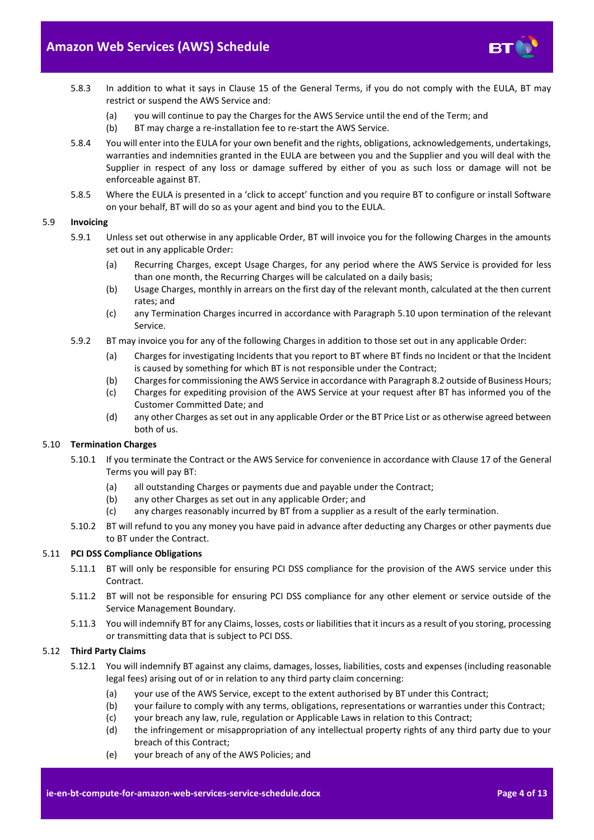

- 5.8.3 In addition to what it says in Clause 15 of the General Terms, if you do not comply with the EULA, BT may restrict or suspend the AWS Service and:
	- (a) you will continue to pay the Charges for the AWS Service until the end of the Term; and
	- (b) BT may charge a re-installation fee to re-start the AWS Service.
- 5.8.4 You will enter into the EULA for your own benefit and the rights, obligations, acknowledgements, undertakings, warranties and indemnities granted in the EULA are between you and the Supplier and you will deal with the Supplier in respect of any loss or damage suffered by either of you as such loss or damage will not be enforceable against BT.
- 5.8.5 Where the EULA is presented in a 'click to accept' function and you require BT to configure or install Software on your behalf, BT will do so as your agent and bind you to the EULA.

# 5.9 **Invoicing**

- 5.9.1 Unless set out otherwise in any applicable Order, BT will invoice you for the following Charges in the amounts set out in any applicable Order:
	- (a) Recurring Charges, except Usage Charges, for any period where the AWS Service is provided for less than one month, the Recurring Charges will be calculated on a daily basis;
	- (b) Usage Charges, monthly in arrears on the first day of the relevant month, calculated at the then current rates; and
	- (c) any Termination Charges incurred in accordance with Paragrap[h 5.10](#page-3-0) upon termination of the relevant Service.
- 5.9.2 BT may invoice you for any of the following Charges in addition to those set out in any applicable Order:
	- (a) Charges for investigating Incidents that you report to BT where BT finds no Incident or that the Incident is caused by something for which BT is not responsible under the Contract;
	- (b) Charges for commissioning the AWS Service in accordance with Paragrap[h 8.2](#page-8-1) outside of Business Hours;
	- (c) Charges for expediting provision of the AWS Service at your request after BT has informed you of the Customer Committed Date; and
	- (d) any other Charges as set out in any applicable Order or the BT Price List or as otherwise agreed between both of us.

### <span id="page-3-0"></span>5.10 **Termination Charges**

- 5.10.1 If you terminate the Contract or the AWS Service for convenience in accordance with Clause 17 of the General Terms you will pay BT:
	- (a) all outstanding Charges or payments due and payable under the Contract;
	- (b) any other Charges as set out in any applicable Order; and
	- (c) any charges reasonably incurred by BT from a supplier as a result of the early termination.
- 5.10.2 BT will refund to you any money you have paid in advance after deducting any Charges or other payments due to BT under the Contract.

#### 5.11 **PCI DSS Compliance Obligations**

- 5.11.1 BT will only be responsible for ensuring PCI DSS compliance for the provision of the AWS service under this Contract.
- 5.11.2 BT will not be responsible for ensuring PCI DSS compliance for any other element or service outside of the Service Management Boundary.
- 5.11.3 You will indemnify BT for any Claims, losses, costs or liabilities that it incurs as a result of you storing, processing or transmitting data that is subject to PCI DSS.

#### <span id="page-3-1"></span>5.12 **Third Party Claims**

- 5.12.1 You will indemnify BT against any claims, damages, losses, liabilities, costs and expenses (including reasonable legal fees) arising out of or in relation to any third party claim concerning:
	- (a) your use of the AWS Service, except to the extent authorised by BT under this Contract;
	- (b) your failure to comply with any terms, obligations, representations or warranties under this Contract;
	- (c) your breach any law, rule, regulation or Applicable Laws in relation to this Contract;
	- (d) the infringement or misappropriation of any intellectual property rights of any third party due to your breach of this Contract;
	- (e) your breach of any of the AWS Policies; and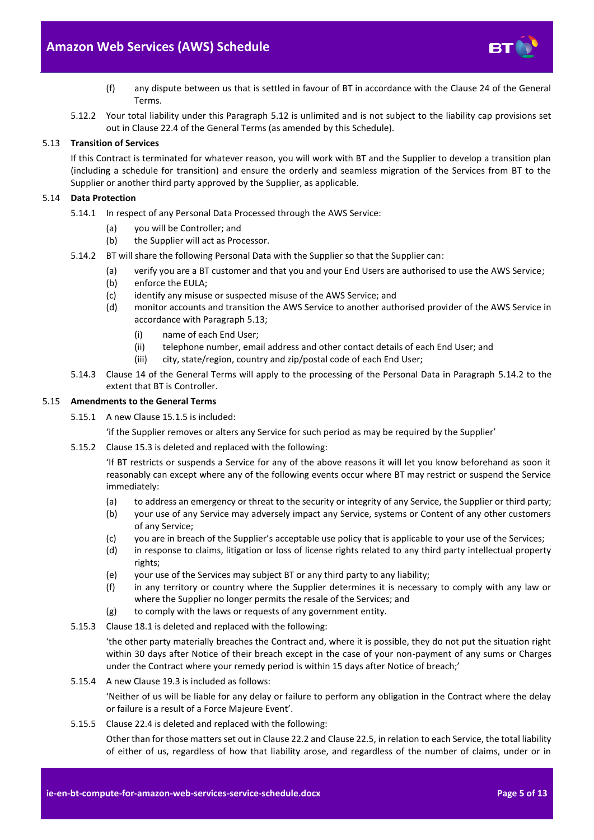

- (f) any dispute between us that is settled in favour of BT in accordance with the Clause 24 of the General Terms.
- 5.12.2 Your total liability under this Paragraph [5.12](#page-3-1) is unlimited and is not subject to the liability cap provisions set out in Clause 22.4 of the General Terms (as amended by this Schedule).

## <span id="page-4-0"></span>5.13 **Transition of Services**

If this Contract is terminated for whatever reason, you will work with BT and the Supplier to develop a transition plan (including a schedule for transition) and ensure the orderly and seamless migration of the Services from BT to the Supplier or another third party approved by the Supplier, as applicable.

## 5.14 **Data Protection**

- 5.14.1 In respect of any Personal Data Processed through the AWS Service:
	- (a) you will be Controller; and
	- (b) the Supplier will act as Processor.
- <span id="page-4-1"></span>5.14.2 BT will share the following Personal Data with the Supplier so that the Supplier can:
	- (a) verify you are a BT customer and that you and your End Users are authorised to use the AWS Service;
	- (b) enforce the EULA;
	- (c) identify any misuse or suspected misuse of the AWS Service; and
	- (d) monitor accounts and transition the AWS Service to another authorised provider of the AWS Service in accordance with Paragraph [5.13;](#page-4-0)
		- (i) name of each End User;
		- (ii) telephone number, email address and other contact details of each End User; and
		- (iii) city, state/region, country and zip/postal code of each End User;
- 5.14.3 Clause 14 of the General Terms will apply to the processing of the Personal Data in Paragraph [5.14.2](#page-4-1) to the extent that BT is Controller.

## 5.15 **Amendments to the General Terms**

- 5.15.1 A new Clause 15.1.5 is included:
	- 'if the Supplier removes or alters any Service for such period as may be required by the Supplier'
- 5.15.2 Clause 15.3 is deleted and replaced with the following:

'If BT restricts or suspends a Service for any of the above reasons it will let you know beforehand as soon it reasonably can except where any of the following events occur where BT may restrict or suspend the Service immediately:

- (a) to address an emergency or threat to the security or integrity of any Service, the Supplier or third party;
- (b) your use of any Service may adversely impact any Service, systems or Content of any other customers of any Service;
- (c) you are in breach of the Supplier's acceptable use policy that is applicable to your use of the Services;
- (d) in response to claims, litigation or loss of license rights related to any third party intellectual property rights;
- (e) your use of the Services may subject BT or any third party to any liability;
- (f) in any territory or country where the Supplier determines it is necessary to comply with any law or where the Supplier no longer permits the resale of the Services; and
- (g) to comply with the laws or requests of any government entity.
- 5.15.3 Clause 18.1 is deleted and replaced with the following:

'the other party materially breaches the Contract and, where it is possible, they do not put the situation right within 30 days after Notice of their breach except in the case of your non-payment of any sums or Charges under the Contract where your remedy period is within 15 days after Notice of breach;'

5.15.4 A new Clause 19.3 is included as follows:

'Neither of us will be liable for any delay or failure to perform any obligation in the Contract where the delay or failure is a result of a Force Majeure Event'.

5.15.5 Clause 22.4 is deleted and replaced with the following:

Other than for those matters set out in Clause 22.2 and Clause 22.5, in relation to each Service, the total liability of either of us, regardless of how that liability arose, and regardless of the number of claims, under or in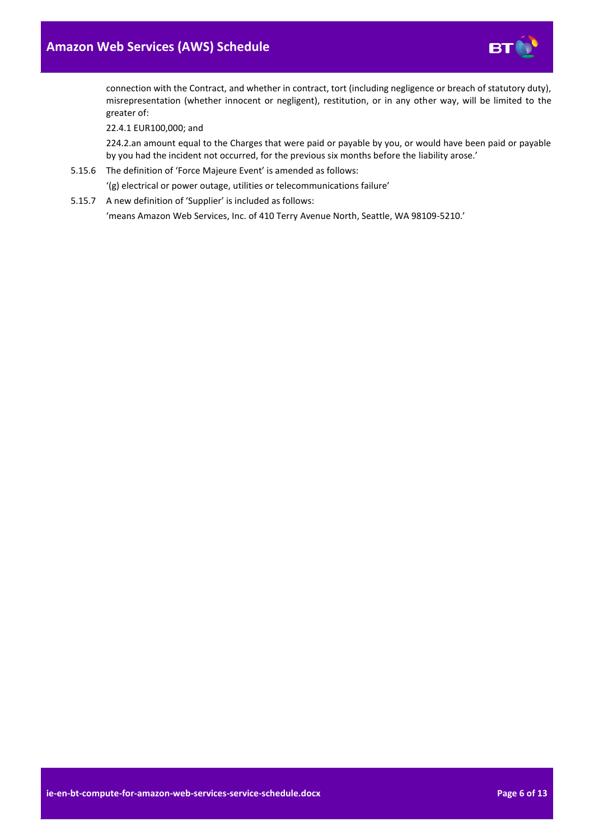

connection with the Contract, and whether in contract, tort (including negligence or breach of statutory duty), misrepresentation (whether innocent or negligent), restitution, or in any other way, will be limited to the greater of:

22.4.1 EUR100,000; and

224.2.an amount equal to the Charges that were paid or payable by you, or would have been paid or payable by you had the incident not occurred, for the previous six months before the liability arose.'

5.15.6 The definition of 'Force Majeure Event' is amended as follows:

'(g) electrical or power outage, utilities or telecommunications failure'

5.15.7 A new definition of 'Supplier' is included as follows: 'means Amazon Web Services, Inc. of 410 Terry Avenue North, Seattle, WA 98109-5210.'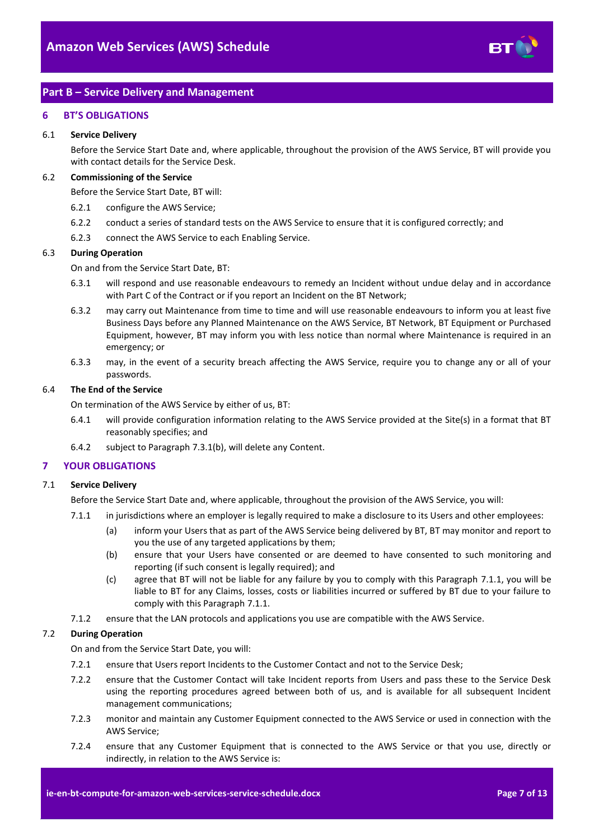

# <span id="page-6-0"></span>**Part B – Service Delivery and Management**

### <span id="page-6-1"></span>**6 BT'S OBLIGATIONS**

#### 6.1 **Service Delivery**

Before the Service Start Date and, where applicable, throughout the provision of the AWS Service, BT will provide you with contact details for the Service Desk.

#### 6.2 **Commissioning of the Service**

Before the Service Start Date, BT will:

- 6.2.1 configure the AWS Service;
- 6.2.2 conduct a series of standard tests on the AWS Service to ensure that it is configured correctly; and
- 6.2.3 connect the AWS Service to each Enabling Service.

#### 6.3 **During Operation**

On and from the Service Start Date, BT:

- 6.3.1 will respond and use reasonable endeavours to remedy an Incident without undue delay and in accordance with Part C of the Contract or if you report an Incident on the BT Network;
- 6.3.2 may carry out Maintenance from time to time and will use reasonable endeavours to inform you at least five Business Days before any Planned Maintenance on the AWS Service, BT Network, BT Equipment or Purchased Equipment, however, BT may inform you with less notice than normal where Maintenance is required in an emergency; or
- 6.3.3 may, in the event of a security breach affecting the AWS Service, require you to change any or all of your passwords.

#### 6.4 **The End of the Service**

On termination of the AWS Service by either of us, BT:

- 6.4.1 will provide configuration information relating to the AWS Service provided at the Site(s) in a format that BT reasonably specifies; and
- 6.4.2 subject to Paragraph [7.3.1\(b\),](#page-8-2) will delete any Content.

### <span id="page-6-2"></span>**7 YOUR OBLIGATIONS**

# <span id="page-6-3"></span>7.1 **Service Delivery**

Before the Service Start Date and, where applicable, throughout the provision of the AWS Service, you will:

- 7.1.1 in jurisdictions where an employer is legally required to make a disclosure to its Users and other employees:
	- (a) inform your Users that as part of the AWS Service being delivered by BT, BT may monitor and report to you the use of any targeted applications by them;
	- (b) ensure that your Users have consented or are deemed to have consented to such monitoring and reporting (if such consent is legally required); and
	- (c) agree that BT will not be liable for any failure by you to comply with this Paragraph [7.1.1,](#page-6-3) you will be liable to BT for any Claims, losses, costs or liabilities incurred or suffered by BT due to your failure to comply with this Paragraph [7.1.1.](#page-6-3)
- 7.1.2 ensure that the LAN protocols and applications you use are compatible with the AWS Service.

### 7.2 **During Operation**

On and from the Service Start Date, you will:

- 7.2.1 ensure that Users report Incidents to the Customer Contact and not to the Service Desk;
- 7.2.2 ensure that the Customer Contact will take Incident reports from Users and pass these to the Service Desk using the reporting procedures agreed between both of us, and is available for all subsequent Incident management communications;
- 7.2.3 monitor and maintain any Customer Equipment connected to the AWS Service or used in connection with the AWS Service;
- 7.2.4 ensure that any Customer Equipment that is connected to the AWS Service or that you use, directly or indirectly, in relation to the AWS Service is: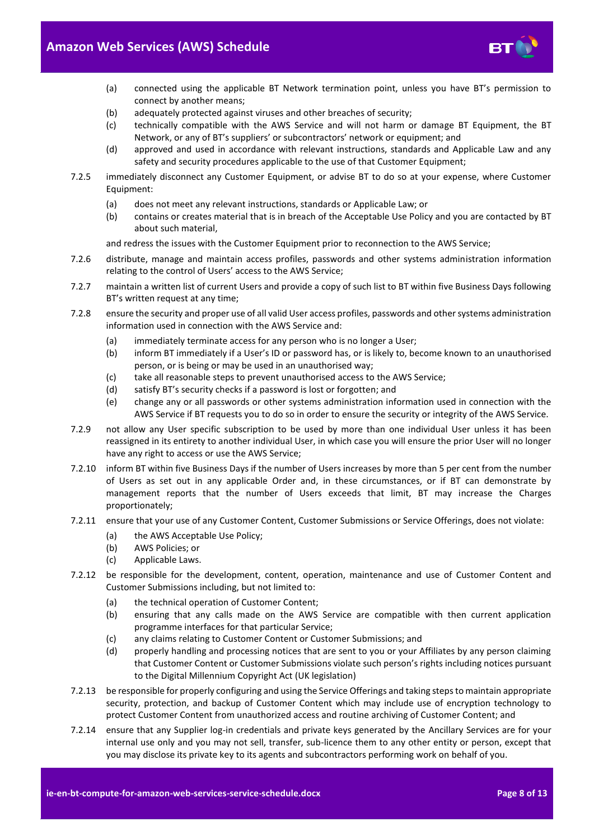

- (a) connected using the applicable BT Network termination point, unless you have BT's permission to connect by another means;
- (b) adequately protected against viruses and other breaches of security;
- (c) technically compatible with the AWS Service and will not harm or damage BT Equipment, the BT Network, or any of BT's suppliers' or subcontractors' network or equipment; and
- (d) approved and used in accordance with relevant instructions, standards and Applicable Law and any safety and security procedures applicable to the use of that Customer Equipment;
- 7.2.5 immediately disconnect any Customer Equipment, or advise BT to do so at your expense, where Customer Equipment:
	- (a) does not meet any relevant instructions, standards or Applicable Law; or
	- (b) contains or creates material that is in breach of the Acceptable Use Policy and you are contacted by BT about such material,

and redress the issues with the Customer Equipment prior to reconnection to the AWS Service;

- 7.2.6 distribute, manage and maintain access profiles, passwords and other systems administration information relating to the control of Users' access to the AWS Service;
- 7.2.7 maintain a written list of current Users and provide a copy of such list to BT within five Business Days following BT's written request at any time;
- 7.2.8 ensure the security and proper use of all valid User access profiles, passwords and other systems administration information used in connection with the AWS Service and:
	- (a) immediately terminate access for any person who is no longer a User;
	- (b) inform BT immediately if a User's ID or password has, or is likely to, become known to an unauthorised person, or is being or may be used in an unauthorised way;
	- (c) take all reasonable steps to prevent unauthorised access to the AWS Service;
	- (d) satisfy BT's security checks if a password is lost or forgotten; and
	- (e) change any or all passwords or other systems administration information used in connection with the AWS Service if BT requests you to do so in order to ensure the security or integrity of the AWS Service.
- 7.2.9 not allow any User specific subscription to be used by more than one individual User unless it has been reassigned in its entirety to another individual User, in which case you will ensure the prior User will no longer have any right to access or use the AWS Service;
- 7.2.10 inform BT within five Business Days if the number of Users increases by more than 5 per cent from the number of Users as set out in any applicable Order and, in these circumstances, or if BT can demonstrate by management reports that the number of Users exceeds that limit, BT may increase the Charges proportionately;
- <span id="page-7-0"></span>7.2.11 ensure that your use of any Customer Content, Customer Submissions or Service Offerings, does not violate:
	- (a) the AWS Acceptable Use Policy;
	- (b) AWS Policies; or
	- (c) Applicable Laws.
- 7.2.12 be responsible for the development, content, operation, maintenance and use of Customer Content and Customer Submissions including, but not limited to:
	- (a) the technical operation of Customer Content;
	- (b) ensuring that any calls made on the AWS Service are compatible with then current application programme interfaces for that particular Service;
	- (c) any claims relating to Customer Content or Customer Submissions; and
	- (d) properly handling and processing notices that are sent to you or your Affiliates by any person claiming that Customer Content or Customer Submissions violate such person's rights including notices pursuant to the Digital Millennium Copyright Act (UK legislation)
- 7.2.13 be responsible for properly configuring and using the Service Offerings and taking steps to maintain appropriate security, protection, and backup of Customer Content which may include use of encryption technology to protect Customer Content from unauthorized access and routine archiving of Customer Content; and
- <span id="page-7-1"></span>7.2.14 ensure that any Supplier log-in credentials and private keys generated by the Ancillary Services are for your internal use only and you may not sell, transfer, sub-licence them to any other entity or person, except that you may disclose its private key to its agents and subcontractors performing work on behalf of you.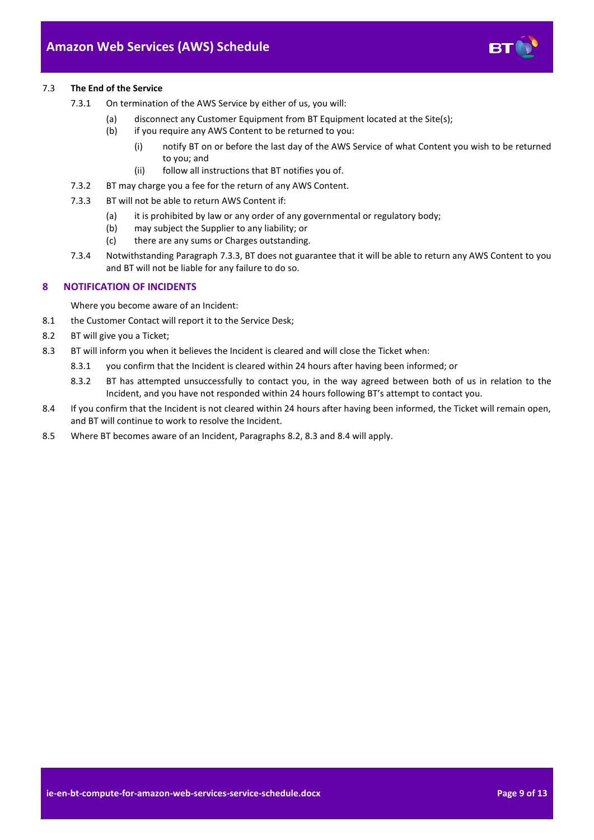

- <span id="page-8-2"></span>7.3.1 On termination of the AWS Service by either of us, you will:
	- (a) disconnect any Customer Equipment from BT Equipment located at the Site(s);
	- (b) if you require any AWS Content to be returned to you:
		- (i) notify BT on or before the last day of the AWS Service of what Content you wish to be returned to you; and
		- (ii) follow all instructions that BT notifies you of.
- 7.3.2 BT may charge you a fee for the return of any AWS Content.
- <span id="page-8-3"></span>7.3.3 BT will not be able to return AWS Content if:
	- (a) it is prohibited by law or any order of any governmental or regulatory body;
	- (b) may subject the Supplier to any liability; or
	- (c) there are any sums or Charges outstanding.
- 7.3.4 Notwithstanding Paragrap[h 7.3.3,](#page-8-3) BT does not guarantee that it will be able to return any AWS Content to you and BT will not be liable for any failure to do so.

#### <span id="page-8-0"></span>**8 NOTIFICATION OF INCIDENTS**

Where you become aware of an Incident:

- 8.1 the Customer Contact will report it to the Service Desk;
- <span id="page-8-1"></span>8.2 BT will give you a Ticket;
- <span id="page-8-4"></span>8.3 BT will inform you when it believes the Incident is cleared and will close the Ticket when:
	- 8.3.1 you confirm that the Incident is cleared within 24 hours after having been informed; or
	- 8.3.2 BT has attempted unsuccessfully to contact you, in the way agreed between both of us in relation to the Incident, and you have not responded within 24 hours following BT's attempt to contact you.
- <span id="page-8-5"></span>8.4 If you confirm that the Incident is not cleared within 24 hours after having been informed, the Ticket will remain open, and BT will continue to work to resolve the Incident.
- 8.5 Where BT becomes aware of an Incident, Paragraphs [8.2,](#page-8-1) [8.3](#page-8-4) and [8.4](#page-8-5) will apply.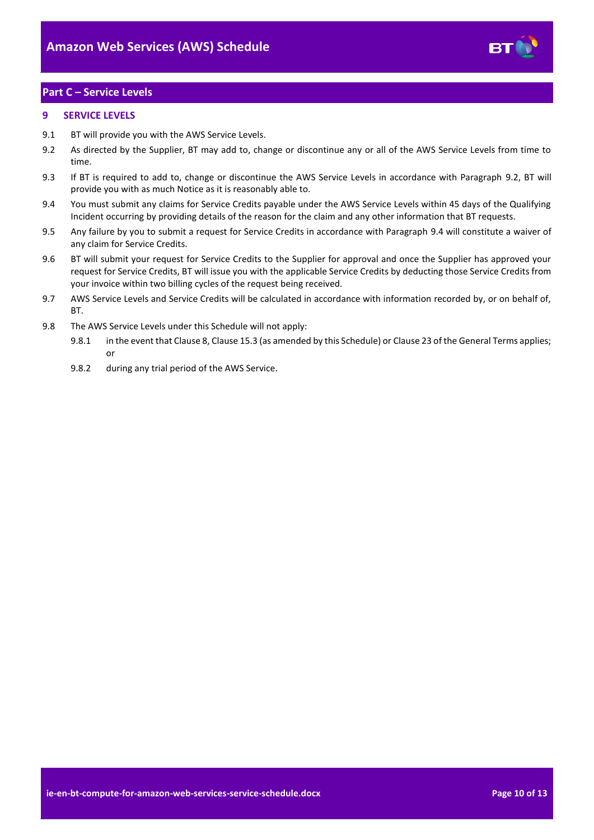

# <span id="page-9-0"></span>**Part C – Service Levels**

# <span id="page-9-1"></span>**9 SERVICE LEVELS**

- 9.1 BT will provide you with the AWS Service Levels.
- <span id="page-9-2"></span>9.2 As directed by the Supplier, BT may add to, change or discontinue any or all of the AWS Service Levels from time to time.
- 9.3 If BT is required to add to, change or discontinue the AWS Service Levels in accordance with Paragraph [9.2,](#page-9-2) BT will provide you with as much Notice as it is reasonably able to.
- <span id="page-9-3"></span>9.4 You must submit any claims for Service Credits payable under the AWS Service Levels within 45 days of the Qualifying Incident occurring by providing details of the reason for the claim and any other information that BT requests.
- 9.5 Any failure by you to submit a request for Service Credits in accordance with Paragraph [9.4](#page-9-3) will constitute a waiver of any claim for Service Credits.
- 9.6 BT will submit your request for Service Credits to the Supplier for approval and once the Supplier has approved your request for Service Credits, BT will issue you with the applicable Service Credits by deducting those Service Credits from your invoice within two billing cycles of the request being received.
- 9.7 AWS Service Levels and Service Credits will be calculated in accordance with information recorded by, or on behalf of, **BT.**
- 9.8 The AWS Service Levels under this Schedule will not apply:
	- 9.8.1 in the event that Clause 8, Clause 15.3 (as amended by this Schedule) or Clause 23 of the General Terms applies; or
	- 9.8.2 during any trial period of the AWS Service.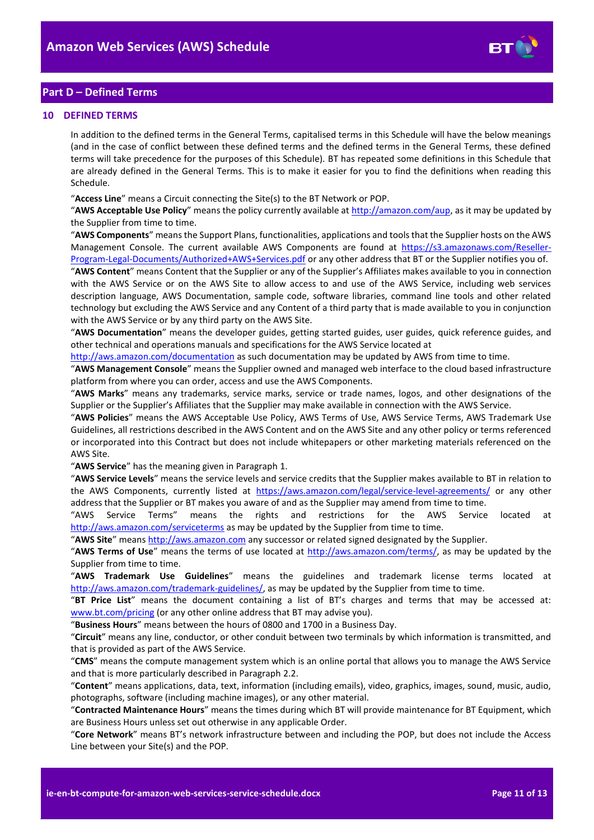

# <span id="page-10-0"></span>**Part D – Defined Terms**

#### <span id="page-10-1"></span>**10 DEFINED TERMS**

In addition to the defined terms in the General Terms, capitalised terms in this Schedule will have the below meanings (and in the case of conflict between these defined terms and the defined terms in the General Terms, these defined terms will take precedence for the purposes of this Schedule). BT has repeated some definitions in this Schedule that are already defined in the General Terms. This is to make it easier for you to find the definitions when reading this Schedule.

"**Access Line**" means a Circuit connecting the Site(s) to the BT Network or POP.

"**AWS Acceptable Use Policy**" means the policy currently available a[t http://amazon.com/aup,](http://amazon.com/aup) as it may be updated by the Supplier from time to time.

"**AWS Components**" means the Support Plans, functionalities, applications and tools that the Supplier hosts on the AWS Management Console. The current available AWS Components are found at [https://s3.amazonaws.com/Reseller-](https://s3.amazonaws.com/Reseller-Program-Legal-Documents/Authorized+AWS+Services.pdf)[Program-Legal-Documents/Authorized+AWS+Services.pdf](https://s3.amazonaws.com/Reseller-Program-Legal-Documents/Authorized+AWS+Services.pdf) or any other address that BT or the Supplier notifies you of.

"**AWS Content**" means Content that the Supplier or any of the Supplier's Affiliates makes available to you in connection with the AWS Service or on the AWS Site to allow access to and use of the AWS Service, including web services description language, AWS Documentation, sample code, software libraries, command line tools and other related technology but excluding the AWS Service and any Content of a third party that is made available to you in conjunction with the AWS Service or by any third party on the AWS Site.

"**AWS Documentation**" means the developer guides, getting started guides, user guides, quick reference guides, and other technical and operations manuals and specifications for the AWS Service located at

<http://aws.amazon.com/documentation> as such documentation may be updated by AWS from time to time.

"**AWS Management Console**" means the Supplier owned and managed web interface to the cloud based infrastructure platform from where you can order, access and use the AWS Components.

"**AWS Marks**" means any trademarks, service marks, service or trade names, logos, and other designations of the Supplier or the Supplier's Affiliates that the Supplier may make available in connection with the AWS Service.

"**AWS Policies**" means the AWS Acceptable Use Policy, AWS Terms of Use, AWS Service Terms, AWS Trademark Use Guidelines, all restrictions described in the AWS Content and on the AWS Site and any other policy or terms referenced or incorporated into this Contract but does not include whitepapers or other marketing materials referenced on the AWS Site.

"**AWS Service**" has the meaning given in Paragrap[h 1.](#page-1-3)

"**AWS Service Levels**" means the service levels and service credits that the Supplier makes available to BT in relation to the AWS Components, currently listed at <https://aws.amazon.com/legal/service-level-agreements/> or any other address that the Supplier or BT makes you aware of and as the Supplier may amend from time to time.

"AWS Service Terms" means the rights and restrictions for the AWS Service located at <http://aws.amazon.com/serviceterms> as may be updated by the Supplier from time to time.

"**AWS Site**" mean[s http://aws.amazon.com](http://aws.amazon.com/) any successor or related signed designated by the Supplier.

"AWS Terms of Use" means the terms of use located at [http://aws.amazon.com/terms/,](http://aws.amazon.com/terms/) as may be updated by the Supplier from time to time.

"**AWS Trademark Use Guidelines**" means the guidelines and trademark license terms located at [http://aws.amazon.com/trademark-guidelines/,](http://aws.amazon.com/trademark-guidelines/) as may be updated by the Supplier from time to time.

"**BT Price List**" means the document containing a list of BT's charges and terms that may be accessed at: [www.bt.com/pricing](http://www.bt.com/pricing) (or any other online address that BT may advise you).

"**Business Hours**" means between the hours of 0800 and 1700 in a Business Day.

"**Circuit**" means any line, conductor, or other conduit between two terminals by which information is transmitted, and that is provided as part of the AWS Service.

"**CMS**" means the compute management system which is an online portal that allows you to manage the AWS Service and that is more particularly described in Paragraph [2.2.](#page-1-8)

"**Content**" means applications, data, text, information (including emails), video, graphics, images, sound, music, audio, photographs, software (including machine images), or any other material.

"**Contracted Maintenance Hours**" means the times during which BT will provide maintenance for BT Equipment, which are Business Hours unless set out otherwise in any applicable Order.

"**Core Network**" means BT's network infrastructure between and including the POP, but does not include the Access Line between your Site(s) and the POP.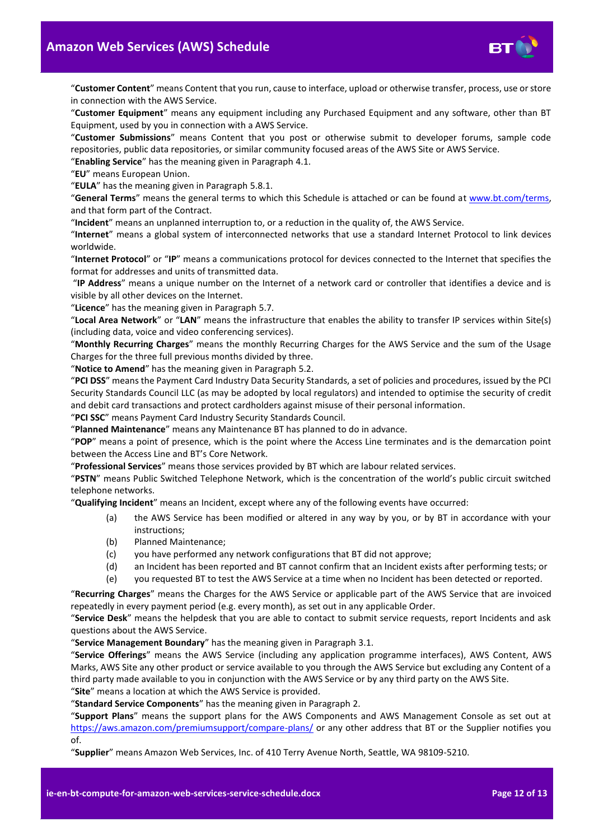

"**Customer Content**" means Content that you run, cause to interface, upload or otherwise transfer, process, use or store in connection with the AWS Service.

"**Customer Equipment**" means any equipment including any Purchased Equipment and any software, other than BT Equipment, used by you in connection with a AWS Service.

"**Customer Submissions**" means Content that you post or otherwise submit to developer forums, sample code repositories, public data repositories, or similar community focused areas of the AWS Site or AWS Service.

"**Enabling Service**" has the meaning given in Paragrap[h 4.1.](#page-1-9)

"**EU**" means European Union.

"**EULA**" has the meaning given in Paragrap[h 5.8.1.](#page-2-2)

"**General Terms**" means the general terms to which this Schedule is attached or can be found at [www.bt.com/terms,](http://www.bt.com/terms) and that form part of the Contract.

"**Incident**" means an unplanned interruption to, or a reduction in the quality of, the AWS Service.

"**Internet**" means a global system of interconnected networks that use a standard Internet Protocol to link devices worldwide.

"**Internet Protocol**" or "**IP**" means a communications protocol for devices connected to the Internet that specifies the format for addresses and units of transmitted data.

"**IP Address**" means a unique number on the Internet of a network card or controller that identifies a device and is visible by all other devices on the Internet.

"**Licence**" has the meaning given in Paragrap[h 5.7.](#page-2-3)

"**Local Area Network**" or "**LAN**" means the infrastructure that enables the ability to transfer IP services within Site(s) (including data, voice and video conferencing services).

"**Monthly Recurring Charges**" means the monthly Recurring Charges for the AWS Service and the sum of the Usage Charges for the three full previous months divided by three.

"**Notice to Amend**" has the meaning given in Paragraph [5.2.](#page-2-4)

"**PCI DSS**" means the Payment Card Industry Data Security Standards, a set of policies and procedures, issued by the PCI Security Standards Council LLC (as may be adopted by local regulators) and intended to optimise the security of credit and debit card transactions and protect cardholders against misuse of their personal information.

"**PCI SSC**" means Payment Card Industry Security Standards Council.

"**Planned Maintenance**" means any Maintenance BT has planned to do in advance.

"**POP**" means a point of presence, which is the point where the Access Line terminates and is the demarcation point between the Access Line and BT's Core Network.

"**Professional Services**" means those services provided by BT which are labour related services.

"**PSTN**" means Public Switched Telephone Network, which is the concentration of the world's public circuit switched telephone networks.

"**Qualifying Incident**" means an Incident, except where any of the following events have occurred:

- (a) the AWS Service has been modified or altered in any way by you, or by BT in accordance with your instructions;
- (b) Planned Maintenance;
- (c) you have performed any network configurations that BT did not approve;
- (d) an Incident has been reported and BT cannot confirm that an Incident exists after performing tests; or
- (e) you requested BT to test the AWS Service at a time when no Incident has been detected or reported.

"**Recurring Charges**" means the Charges for the AWS Service or applicable part of the AWS Service that are invoiced repeatedly in every payment period (e.g. every month), as set out in any applicable Order.

"**Service Desk**" means the helpdesk that you are able to contact to submit service requests, report Incidents and ask questions about the AWS Service.

"**Service Management Boundary**" has the meaning given in Paragrap[h 3.1.](#page-1-10)

"**Service Offerings**" means the AWS Service (including any application programme interfaces), AWS Content, AWS Marks, AWS Site any other product or service available to you through the AWS Service but excluding any Content of a third party made available to you in conjunction with the AWS Service or by any third party on the AWS Site. "**Site**" means a location at which the AWS Service is provided.

"**Standard Service Components**" has the meaning given in Paragrap[h 2.](#page-1-4)

"**Support Plans**" means the support plans for the AWS Components and AWS Management Console as set out at <https://aws.amazon.com/premiumsupport/compare-plans/> or any other address that BT or the Supplier notifies you of.

"**Supplier**" means Amazon Web Services, Inc. of 410 Terry Avenue North, Seattle, WA 98109-5210.